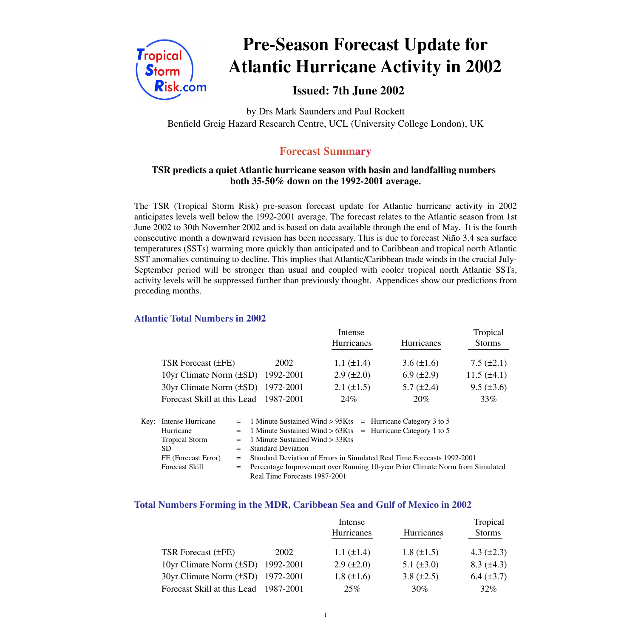

# **Pre-Season Forecast Update for Atlantic Hurricane Activity in 2002**

 **Issued: 7th June 2002**

by Drs Mark Saunders and Paul Rockett Benfield Greig Hazard Research Centre, UCL (University College London), UK

## **Forecast Summary**

#### **TSR predicts a quiet Atlantic hurricane season with basin and landfalling numbers both 35-50% down on the 1992-2001 average.**

The TSR (Tropical Storm Risk) pre-season forecast update for Atlantic hurricane activity in 2002 anticipates levels well below the 1992-2001 average. The forecast relates to the Atlantic season from 1st June 2002 to 30th November 2002 and is based on data available through the end of May. It is the fourth consecutive month a downward revision has been necessary. This is due to forecast Niño 3.4 sea surface temperatures (SSTs) warming more quickly than anticipated and to Caribbean and tropical north Atlantic SST anomalies continuing to decline. This implies that Atlantic/Caribbean trade winds in the crucial July-September period will be stronger than usual and coupled with cooler tropical north Atlantic SSTs, activity levels will be suppressed further than previously thought. Appendices show our predictions from preceding months.

#### **Atlantic Total Numbers in 2002**

|                                   |           | Intense           |                   | Tropical         |
|-----------------------------------|-----------|-------------------|-------------------|------------------|
|                                   |           | Hurricanes        | Hurricanes        | <b>Storms</b>    |
| TSR Forecast $(\pm FE)$           | 2002      | 1.1 $(\pm 1.4)$   | $3.6 (\pm 1.6)$   | $7.5 (\pm 2.1)$  |
| 10yr Climate Norm $(\pm SD)$      | 1992-2001 | $2.9 \ (\pm 2.0)$ | $6.9 \ (\pm 2.9)$ | $11.5 (\pm 4.1)$ |
| 30yr Climate Norm (±SD) 1972-2001 |           | $2.1 (\pm 1.5)$   | $5.7 \ (\pm 2.4)$ | $9.5 (\pm 3.6)$  |
| Forecast Skill at this Lead       | 1987-2001 | 24%               | 20%               | 33%              |

| Key: Intense Hurricane |     | $=$ 1 Minute Sustained Wind > 95Kts $=$ Hurricane Category 3 to 5               |
|------------------------|-----|---------------------------------------------------------------------------------|
| Hurricane              |     | $=$ 1 Minute Sustained Wind > 63Kts = Hurricane Category 1 to 5                 |
| <b>Tropical Storm</b>  |     | $=$ 1 Minute Sustained Wind $>$ 33Kts                                           |
| SD.                    |     | $=$ Standard Deviation                                                          |
| FE (Forecast Error)    | $=$ | Standard Deviation of Errors in Simulated Real Time Forecasts 1992-2001         |
| <b>Forecast Skill</b>  |     | = Percentage Improvement over Running 10-year Prior Climate Norm from Simulated |
|                        |     | Real Time Forecasts 1987-2001                                                   |

#### **Total Numbers Forming in the MDR, Caribbean Sea and Gulf of Mexico in 2002**

|                                        |      | Intense           |                   |                   |
|----------------------------------------|------|-------------------|-------------------|-------------------|
|                                        |      | Hurricanes        | <b>Hurricanes</b> | <b>Storms</b>     |
| TSR Forecast (±FE)                     | 2002 | $1.1 (\pm 1.4)$   | $1.8 (\pm 1.5)$   | 4.3 $(\pm 2.3)$   |
| 10yr Climate Norm $(\pm SD)$ 1992-2001 |      | $2.9 \ (\pm 2.0)$ | 5.1 $(\pm 3.0)$   | $8.3 \ (\pm 4.3)$ |
| 30yr Climate Norm (±SD) 1972-2001      |      | $1.8 (\pm 1.6)$   | $3.8 (\pm 2.5)$   | $6.4 (\pm 3.7)$   |
| Forecast Skill at this Lead 1987-2001  |      | 25%               | 30%               | $32\%$            |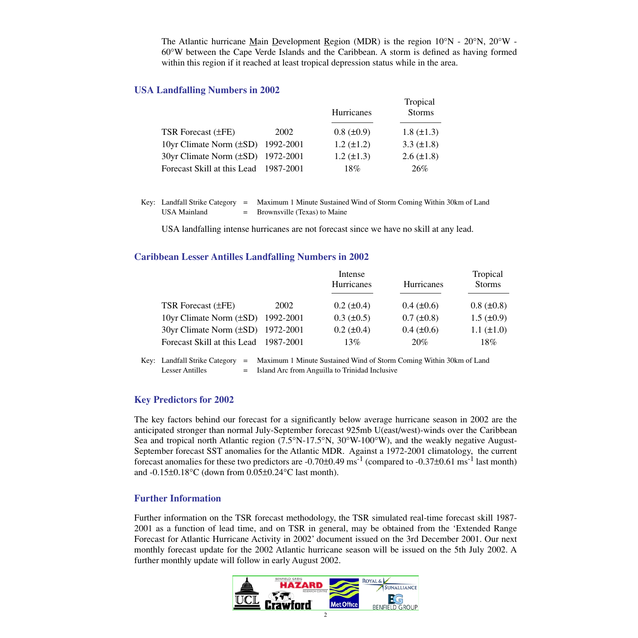The Atlantic hurricane Main Development Region (MDR) is the region 10°N - 20°N, 20°W - 60°W between the Cape Verde Islands and the Caribbean. A storm is defined as having formed within this region if it reached at least tropical depression status while in the area.

#### **USA Landfalling Numbers in 2002**

|                                        |      | Hurricanes        | Tropical<br><b>Storms</b> |  |
|----------------------------------------|------|-------------------|---------------------------|--|
| <b>TSR</b> Forecast ( $\pm$ FE)        | 2002 | $0.8 \ (\pm 0.9)$ | $1.8 (\pm 1.3)$           |  |
| 10yr Climate Norm $(\pm SD)$ 1992-2001 |      | $1.2 (\pm 1.2)$   | 3.3 $(\pm 1.8)$           |  |
| 30yr Climate Norm (±SD) 1972-2001      |      | $1.2 (\pm 1.3)$   | $2.6 \ (\pm 1.8)$         |  |
| Forecast Skill at this Lead 1987-2001  |      | 18%               | 26%                       |  |

| Key: Landfall Strike Category $=$ | Maximum 1 Minute Sustained Wind of Storm Coming Within 30km of Land |
|-----------------------------------|---------------------------------------------------------------------|
| USA Mainland                      | $=$ Brownsville (Texas) to Maine                                    |

USA landfalling intense hurricanes are not forecast since we have no skill at any lead.

#### **Caribbean Lesser Antilles Landfalling Numbers in 2002**

|                                        |      | Intense<br><b>Hurricanes</b> | Hurricanes        | Tropical<br><b>Storms</b> |
|----------------------------------------|------|------------------------------|-------------------|---------------------------|
| TSR Forecast $(\pm FE)$                | 2002 | $0.2 \ (\pm 0.4)$            | $0.4 \ (\pm 0.6)$ | $0.8 (\pm 0.8)$           |
| 10yr Climate Norm $(\pm SD)$ 1992-2001 |      | $0.3 \ (\pm 0.5)$            | $0.7 (\pm 0.8)$   | $1.5 \ (\pm 0.9)$         |
| 30yr Climate Norm (±SD) 1972-2001      |      | $0.2 (\pm 0.4)$              | $0.4 (\pm 0.6)$   | $1.1 (\pm 1.0)$           |
| Forecast Skill at this Lead 1987-2001  |      | 13%                          | 20%               | $18\%$                    |

Key: Landfall Strike Category = Maximum 1 Minute Sustained Wind of Storm Coming Within 30km of Land Lesser Antilles  $=$  Island Arc from Anguilla to Trinidad Inclusive

#### **Key Predictors for 2002**

The key factors behind our forecast for a significantly below average hurricane season in 2002 are the anticipated stronger than normal July-September forecast 925mb U(east/west)-winds over the Caribbean Sea and tropical north Atlantic region (7.5°N-17.5°N, 30°W-100°W), and the weakly negative August-September forecast SST anomalies for the Atlantic MDR. Against a 1972-2001 climatology, the current forecast anomalies for these two predictors are  $-0.70\pm0.49$  ms<sup>-1</sup> (compared to  $-0.37\pm0.61$  ms<sup>-1</sup> last month) and  $-0.15\pm0.18\textdegree$ C (down from  $0.05\pm0.24\textdegree$ C last month).

#### **Further Information**

Further information on the TSR forecast methodology, the TSR simulated real-time forecast skill 1987- 2001 as a function of lead time, and on TSR in general, may be obtained from the 'Extended Range Forecast for Atlantic Hurricane Activity in 2002' document issued on the 3rd December 2001. Our next monthly forecast update for the 2002 Atlantic hurricane season will be issued on the 5th July 2002. A further monthly update will follow in early August 2002.

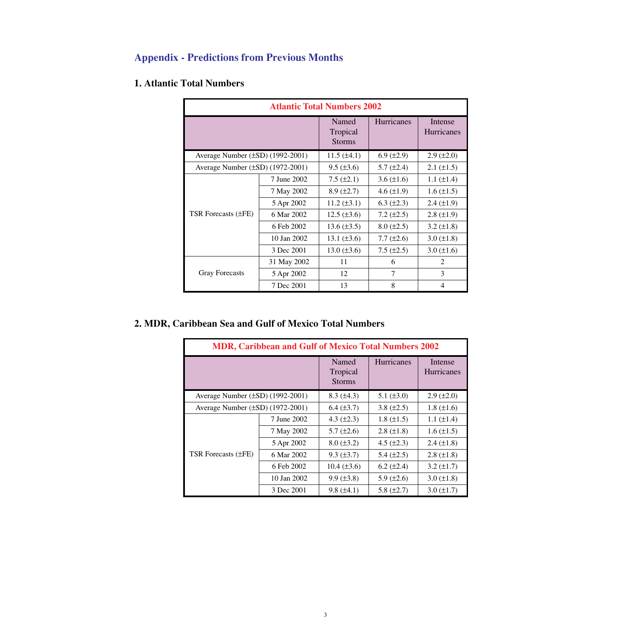# **Appendix - Predictions from Previous Months**

### **1. Atlantic Total Numbers**

| <b>Atlantic Total Numbers 2002</b> |             |                                    |                    |                       |  |  |
|------------------------------------|-------------|------------------------------------|--------------------|-----------------------|--|--|
|                                    |             | Named<br>Tropical<br><b>Storms</b> | <b>Hurricanes</b>  | Intense<br>Hurricanes |  |  |
| Average Number (±SD) (1992-2001)   |             | $11.5 (\pm 4.1)$                   | $6.9 \ (\pm 2.9)$  | $2.9 \ (\pm 2.0)$     |  |  |
| Average Number (±SD) (1972-2001)   |             | $9.5 (\pm 3.6)$                    | 5.7 $(\pm 2.4)$    | $2.1 (\pm 1.5)$       |  |  |
|                                    | 7 June 2002 | $7.5 (\pm 2.1)$                    | $3.6 \, (\pm 1.6)$ | 1.1 $(\pm 1.4)$       |  |  |
|                                    | 7 May 2002  | $8.9 \ (\pm 2.7)$                  | 4.6 $(\pm 1.9)$    | $1.6 \, (\pm 1.5)$    |  |  |
|                                    | 5 Apr 2002  | 11.2 $(\pm 3.1)$                   | $6.3 \ (\pm 2.3)$  | $2.4 \ (\pm 1.9)$     |  |  |
| TSR Forecasts $(\pm FE)$           | 6 Mar 2002  | $12.5 (\pm 3.6)$                   | 7.2 $(\pm 2.5)$    | $2.8 \ (\pm 1.9)$     |  |  |
|                                    | 6 Feb 2002  | 13.6 $(\pm 3.5)$                   | $8.0 (\pm 2.5)$    | $3.2 \ (\pm 1.8)$     |  |  |
|                                    | 10 Jan 2002 | 13.1 $(\pm 3.6)$                   | 7.7 $(\pm 2.6)$    | $3.0 (\pm 1.8)$       |  |  |
|                                    | 3 Dec 2001  | $13.0 (\pm 3.6)$                   | $7.5 \ (\pm 2.5)$  | $3.0 (\pm 1.6)$       |  |  |
| <b>Gray Forecasts</b>              | 31 May 2002 | 11                                 | 6                  | 2                     |  |  |
|                                    | 5 Apr 2002  | 12                                 | 7                  | 3                     |  |  |
|                                    | 7 Dec 2001  | 13                                 | 8                  | 4                     |  |  |

## **2. MDR, Caribbean Sea and Gulf of Mexico Total Numbers**

| <b>MDR, Caribbean and Gulf of Mexico Total Numbers 2002</b> |             |                                    |                   |                              |  |
|-------------------------------------------------------------|-------------|------------------------------------|-------------------|------------------------------|--|
|                                                             |             | Named<br>Tropical<br><b>Storms</b> | <b>Hurricanes</b> | Intense<br><b>Hurricanes</b> |  |
| Average Number $(\pm SD)$ (1992-2001)                       |             | $8.3 \ (\pm 4.3)$                  | 5.1 $(\pm 3.0)$   | $2.9 \ (\pm 2.0)$            |  |
| Average Number $(\pm SD)$ (1972-2001)                       |             | $6.4 (\pm 3.7)$                    | 3.8 $(\pm 2.5)$   | $1.8 (\pm 1.6)$              |  |
|                                                             | 7 June 2002 | 4.3 $(\pm 2.3)$                    | $1.8 (\pm 1.5)$   | $1.1 (\pm 1.4)$              |  |
|                                                             | 7 May 2002  | 5.7 $(\pm 2.6)$                    | $2.8 (\pm 1.8)$   | $1.6 (\pm 1.5)$              |  |
|                                                             | 5 Apr 2002  | $8.0 \ (\pm 3.2)$                  | 4.5 $(\pm 2.3)$   | $2.4 \ (\pm 1.8)$            |  |
| TSR Forecasts (±FE)                                         | 6 Mar 2002  | $9.3 (\pm 3.7)$                    | 5.4 $(\pm 2.5)$   | $2.8 (\pm 1.8)$              |  |
|                                                             | 6 Feb 2002  | $10.4 (\pm 3.6)$                   | $6.2 (\pm 2.4)$   | $3.2 (\pm 1.7)$              |  |
|                                                             | 10 Jan 2002 | $9.9 (\pm 3.8)$                    | 5.9 $(\pm 2.6)$   | $3.0 (\pm 1.8)$              |  |
|                                                             | 3 Dec 2001  | $9.8 (\pm 4.1)$                    | 5.8 $(\pm 2.7)$   | $3.0 (\pm 1.7)$              |  |